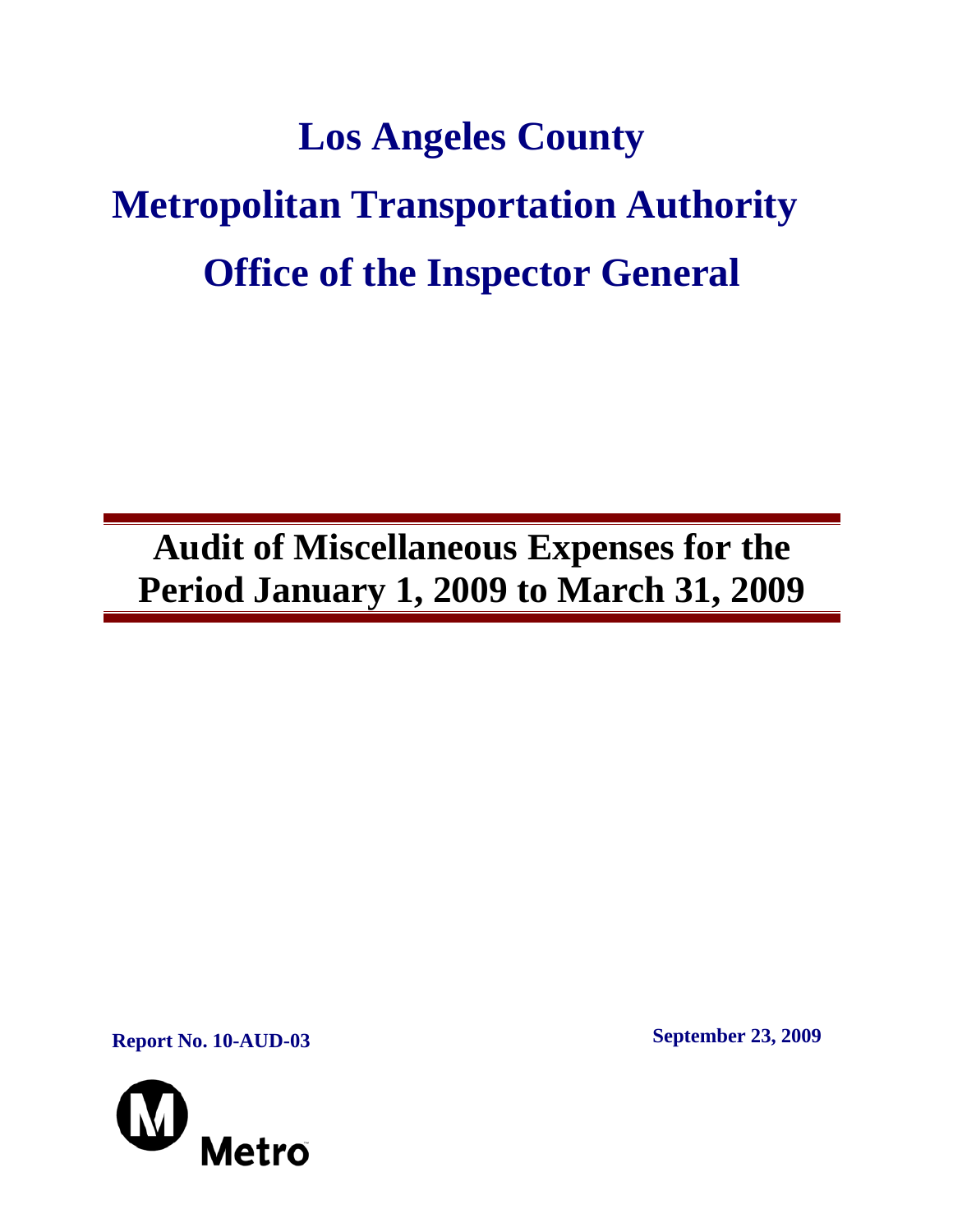# **Los Angeles County Metropolitan Transportation Authority Office of the Inspector General**

**Audit of Miscellaneous Expenses for the Period January 1, 2009 to March 31, 2009** 

**Report No. 10-AUD-03 September 23, 2009** 

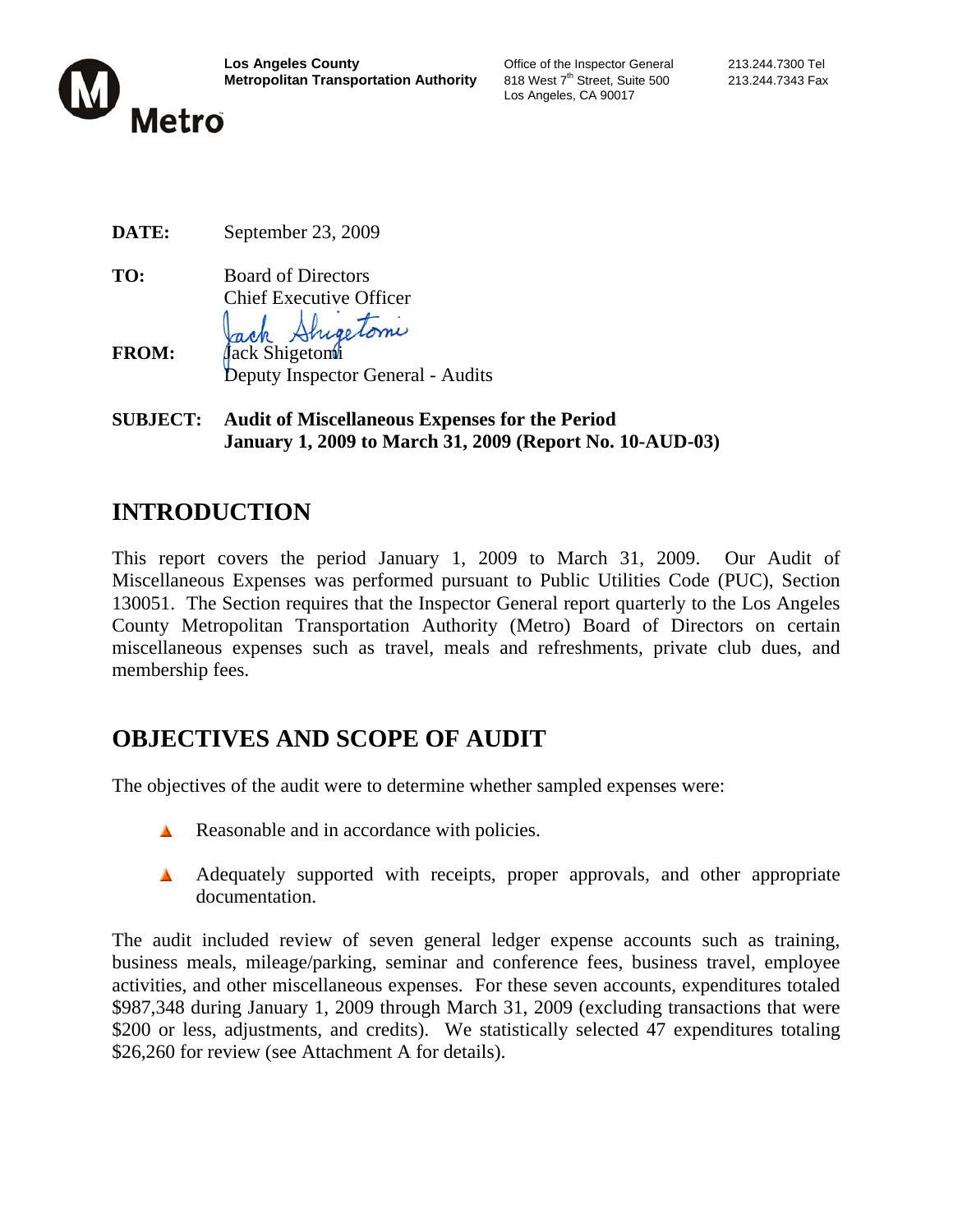

Los Angeles, CA 90017

**TO:** Board of Directors Chief Executive Officer rectomi

- **FROM:** Jack Shigetomi Deputy Inspector General - Audits
- **SUBJECT: Audit of Miscellaneous Expenses for the Period January 1, 2009 to March 31, 2009 (Report No. 10-AUD-03)**

# **INTRODUCTION**

This report covers the period January 1, 2009 to March 31, 2009. Our Audit of Miscellaneous Expenses was performed pursuant to Public Utilities Code (PUC), Section 130051. The Section requires that the Inspector General report quarterly to the Los Angeles County Metropolitan Transportation Authority (Metro) Board of Directors on certain miscellaneous expenses such as travel, meals and refreshments, private club dues, and membership fees.

# **OBJECTIVES AND SCOPE OF AUDIT**

The objectives of the audit were to determine whether sampled expenses were:

- Reasonable and in accordance with policies.
- A Adequately supported with receipts, proper approvals, and other appropriate documentation.

The audit included review of seven general ledger expense accounts such as training, business meals, mileage/parking, seminar and conference fees, business travel, employee activities, and other miscellaneous expenses. For these seven accounts, expenditures totaled \$987,348 during January 1, 2009 through March 31, 2009 (excluding transactions that were \$200 or less, adjustments, and credits). We statistically selected 47 expenditures totaling \$26,260 for review (see Attachment A for details).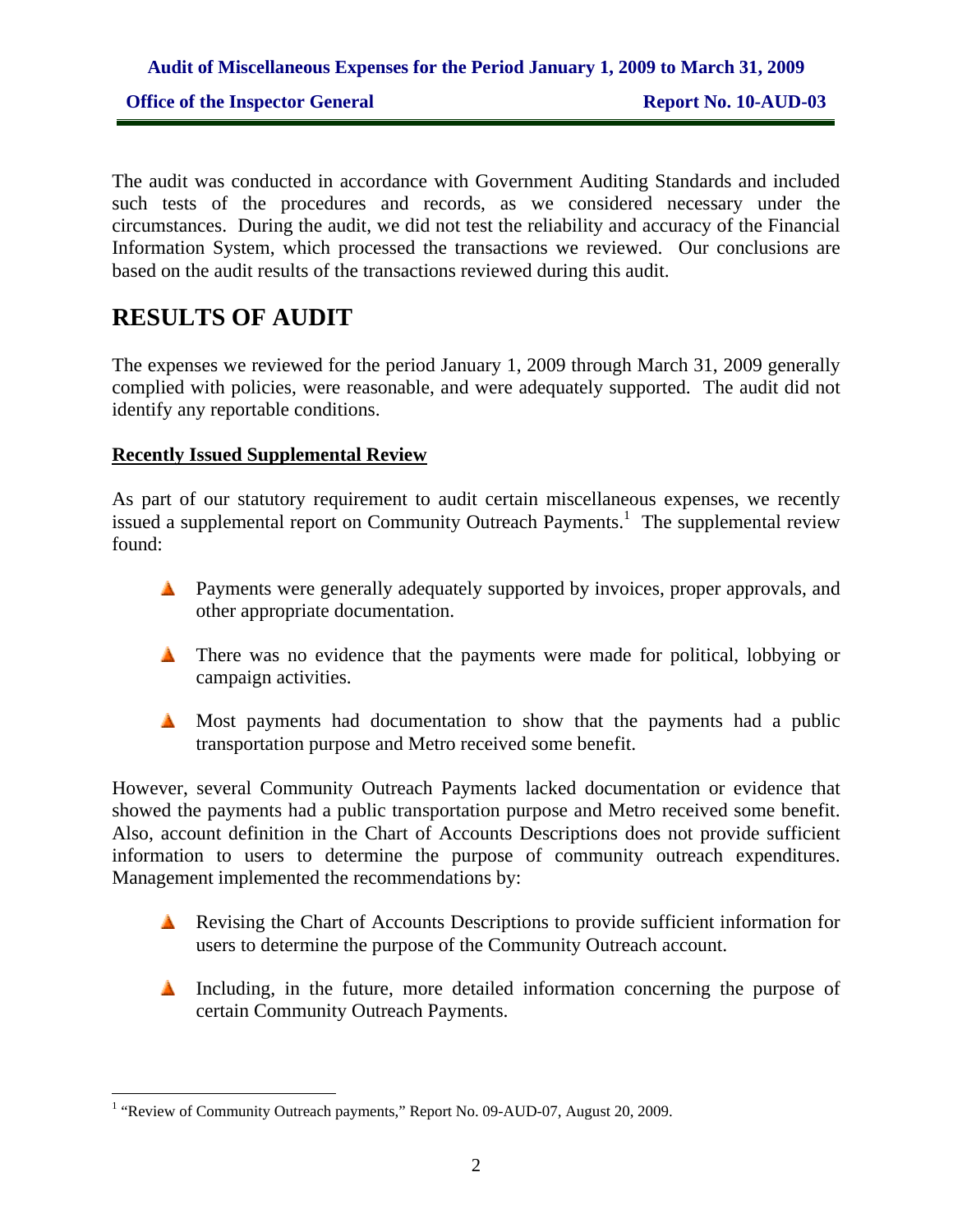The audit was conducted in accordance with Government Auditing Standards and included such tests of the procedures and records, as we considered necessary under the circumstances. During the audit, we did not test the reliability and accuracy of the Financial Information System, which processed the transactions we reviewed. Our conclusions are based on the audit results of the transactions reviewed during this audit.

## **RESULTS OF AUDIT**

 $\overline{a}$ 

The expenses we reviewed for the period January 1, 2009 through March 31, 2009 generally complied with policies, were reasonable, and were adequately supported. The audit did not identify any reportable conditions.

#### **Recently Issued Supplemental Review**

As part of our statutory requirement to audit certain miscellaneous expenses, we recently issued a supplemental report on Community Outreach Payments.<sup>1</sup> The supplemental review found:

- **A** Payments were generally adequately supported by invoices, proper approvals, and other appropriate documentation.
- There was no evidence that the payments were made for political, lobbying or campaign activities.
- $\triangle$  Most payments had documentation to show that the payments had a public transportation purpose and Metro received some benefit.

However, several Community Outreach Payments lacked documentation or evidence that showed the payments had a public transportation purpose and Metro received some benefit. Also, account definition in the Chart of Accounts Descriptions does not provide sufficient information to users to determine the purpose of community outreach expenditures. Management implemented the recommendations by:

- Revising the Chart of Accounts Descriptions to provide sufficient information for users to determine the purpose of the Community Outreach account.
- Including, in the future, more detailed information concerning the purpose of certain Community Outreach Payments.

<sup>&</sup>lt;sup>1</sup> "Review of Community Outreach payments," Report No. 09-AUD-07, August 20, 2009.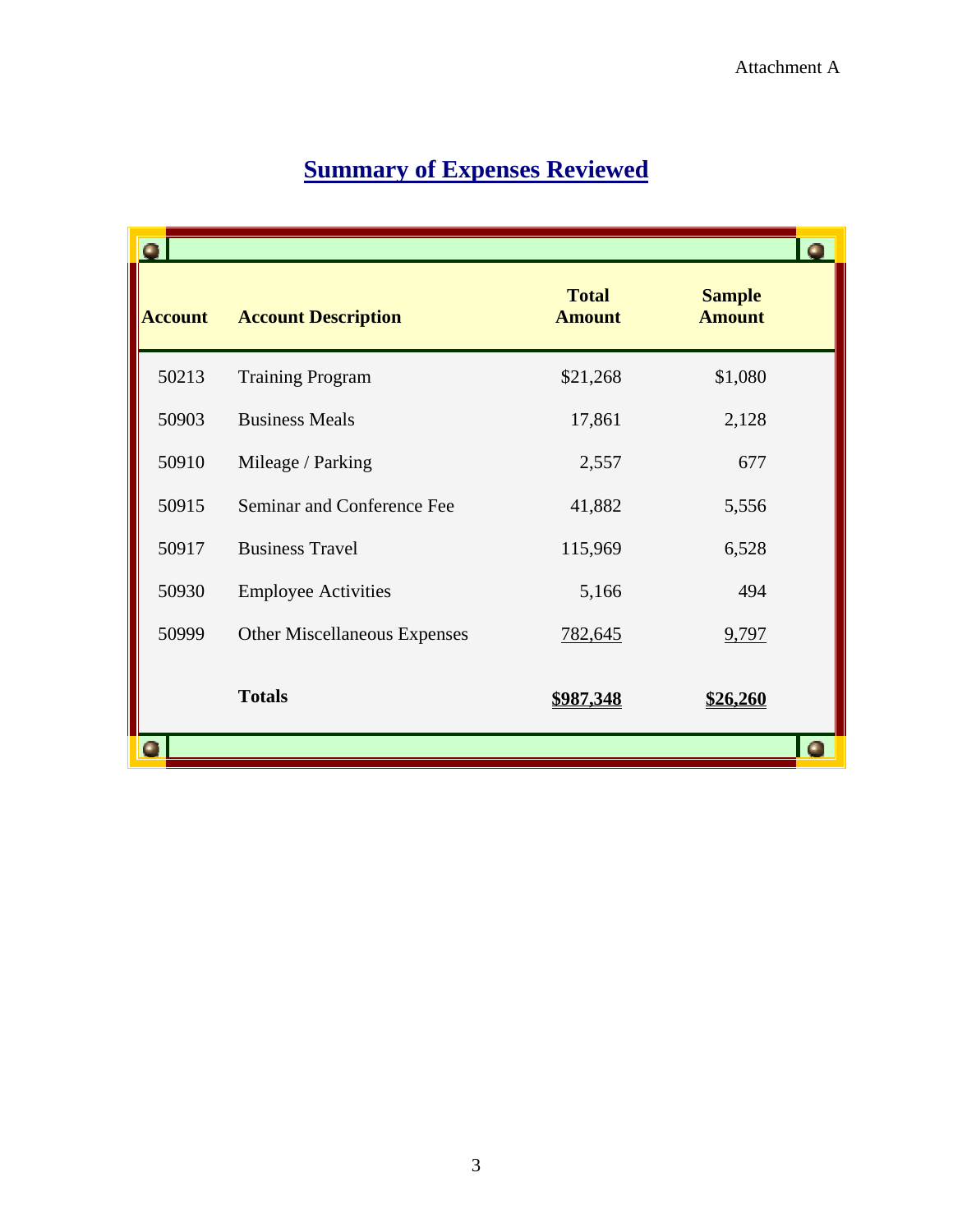|                |                                     |                               |                                | $\bullet$ |
|----------------|-------------------------------------|-------------------------------|--------------------------------|-----------|
| <b>Account</b> | <b>Account Description</b>          | <b>Total</b><br><b>Amount</b> | <b>Sample</b><br><b>Amount</b> |           |
| 50213          | <b>Training Program</b>             | \$21,268                      | \$1,080                        |           |
| 50903          | <b>Business Meals</b>               | 17,861                        | 2,128                          |           |
| 50910          | Mileage / Parking                   | 2,557                         | 677                            |           |
| 50915          | Seminar and Conference Fee          | 41,882                        | 5,556                          |           |
| 50917          | <b>Business Travel</b>              | 115,969                       | 6,528                          |           |
| 50930          | <b>Employee Activities</b>          | 5,166                         | 494                            |           |
| 50999          | <b>Other Miscellaneous Expenses</b> | 782,645                       | 9,797                          |           |
|                | <b>Totals</b>                       | <u>\$987,348</u>              | \$26,260                       |           |
|                |                                     |                               |                                | Œ         |

# **Summary of Expenses Reviewed**